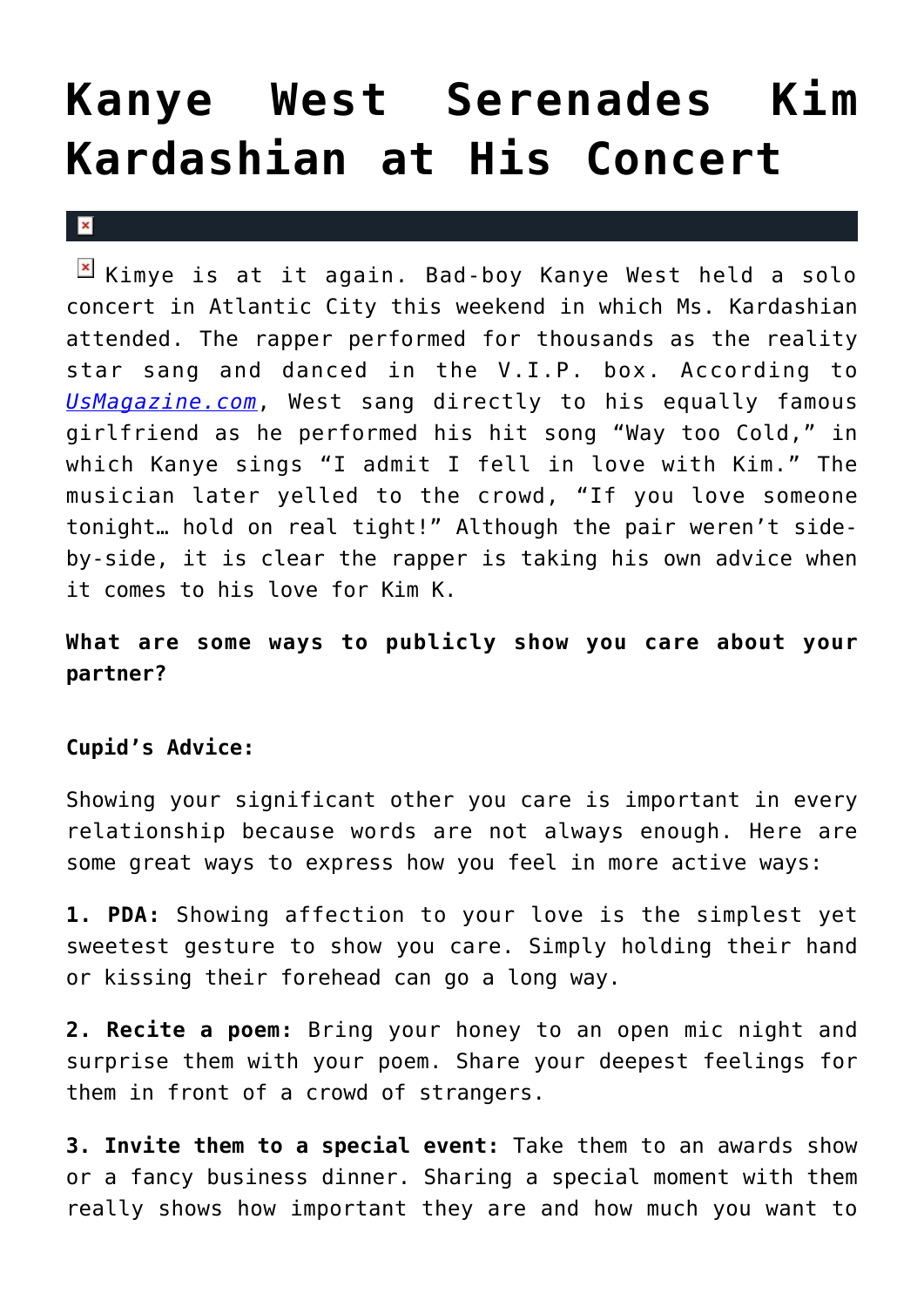## **[Kanye West Serenades Kim](https://cupidspulse.com/34571/kanye-west-serenades-kim-kardashian-concert/) [Kardashian at His Concert](https://cupidspulse.com/34571/kanye-west-serenades-kim-kardashian-concert/)**

 $\vert \mathbf{x} \vert$ 

 $\boxed{\times}$  Kimye is at it again. Bad-boy Kanye West held a solo concert in Atlantic City this weekend in which Ms. Kardashian attended. The rapper performed for thousands as the reality star sang and danced in the V.I.P. box. According to *[UsMagazine.com](http://usmagazine.com)*, West sang directly to his equally famous girlfriend as he performed his hit song "Way too Cold," in which Kanye sings "I admit I fell in love with Kim." The musician later yelled to the crowd, "If you love someone tonight… hold on real tight!" Although the pair weren't sideby-side, it is clear the rapper is taking his own advice when it comes to his love for Kim K.

## **What are some ways to publicly show you care about your partner?**

## **Cupid's Advice:**

Showing your significant other you care is important in every relationship because words are not always enough. Here are some great ways to express how you feel in more active ways:

**1. PDA:** Showing affection to your love is the simplest yet sweetest gesture to show you care. Simply holding their hand or kissing their forehead can go a long way.

**2. Recite a poem:** Bring your honey to an open mic night and surprise them with your poem. Share your deepest feelings for them in front of a crowd of strangers.

**3. Invite them to a special event:** Take them to an awards show or a fancy business dinner. Sharing a special moment with them really shows how important they are and how much you want to